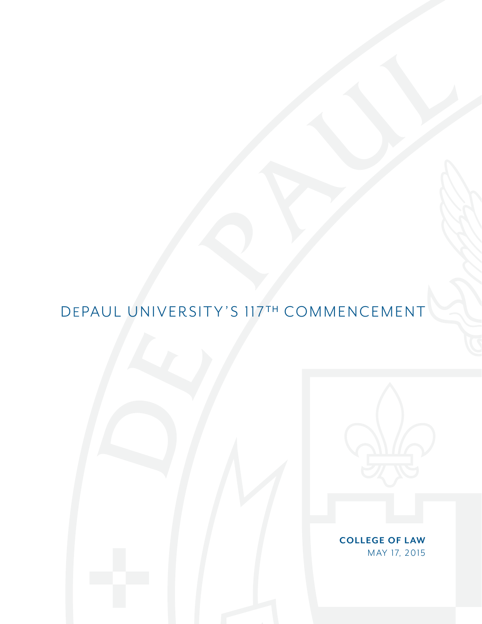# DEPAUL UNIVERSITY'S 117TH COMMENCEMENT



**COLLEGE OF LAW** MAY 17, 2015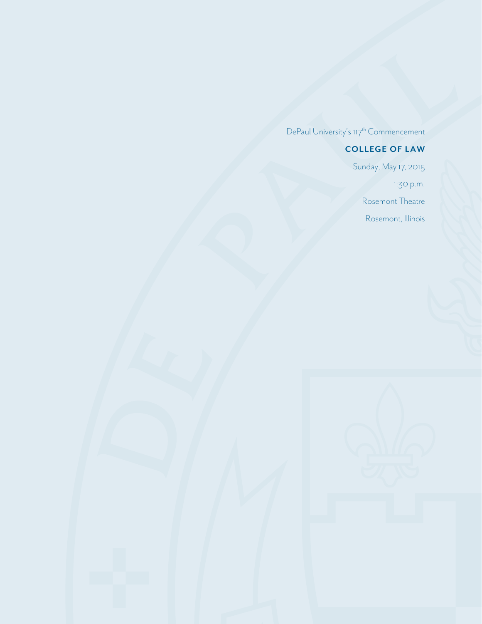DePaul University's  $117^{\text{th}}$  Commencement

## **COLLEGE OF LAW**

Sunday, May 17, 2015 1:30 p.m. Rosemont Theatre Rosemont, Illinois

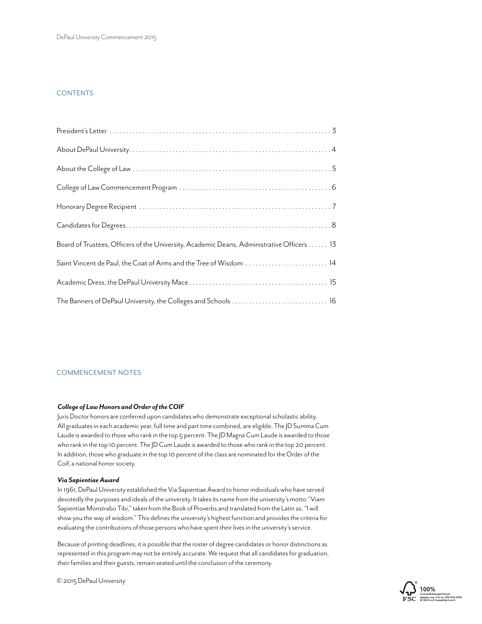#### **CONTENTS**

| Board of Trustees, Officers of the University, Academic Deans, Administrative Officers 13 |
|-------------------------------------------------------------------------------------------|
| Saint Vincent de Paul, the Coat of Arms and the Tree of Wisdom  14                        |
|                                                                                           |
| The Banners of DePaul University, the Colleges and Schools  16                            |

#### COMMENCEMENT NOTES

#### *College of Law Honors and Order of the COIF*

Juris Doctor honors are conferred upon candidates who demonstrate exceptional scholastic ability. All graduates in each academic year, full time and part time combined, are eligible. The JD Summa Cum Laude is awarded to those who rank in the top 5 percent. The JD Magna Cum Laude is awarded to those who rank in the top 10 percent. The JD Cum Laude is awarded to those who rank in the top 20 percent. In addition, those who graduate in the top 10 percent of the class are nominated for the Order of the Coif, a national honor society.

#### *Via Sapientiae Award*

In 1961, DePaul University established the Via Sapientiae Award to honor individuals who have served devotedly the purposes and ideals of the university. It takes its name from the university's motto "Viam Sapientiae Monstrabo Tibi," taken from the Book of Proverbs and translated from the Latin as, "I will show you the way of wisdom." This defines the university's highest function and provides the criteria for evaluating the contributions of those persons who have spent their lives in the university's service.

Because of printing deadlines, it is possible that the roster of degree candidates or honor distinctions as represented in this program may not be entirely accurate. We request that all candidates for graduation, their families and their guests, remain seated until the conclusion of the ceremony.



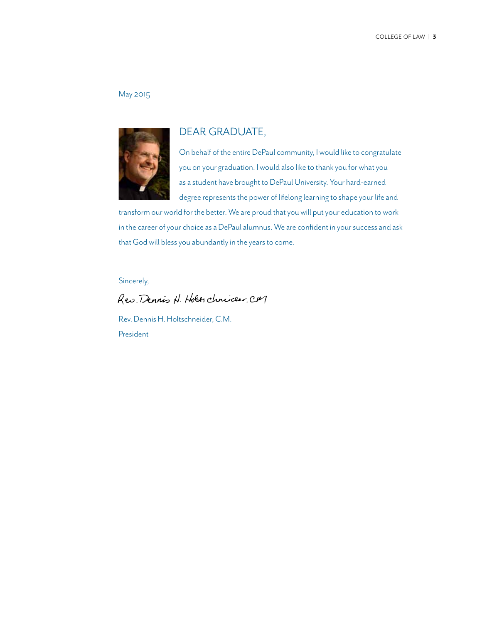#### May 2015



### DEAR GRADUATE,

On behalf of the entire DePaul community, I would like to congratulate you on your graduation. I would also like to thank you for what you as a student have brought to DePaul University. Your hard-earned degree represents the power of lifelong learning to shape your life and

transform our world for the better. We are proud that you will put your education to work in the career of your choice as a DePaul alumnus. We are confident in your success and ask that God will bless you abundantly in the years to come.

Sincerely,

Res. Dennis H. Holes chnicler, CM

Rev. Dennis H. Holtschneider, C.M. President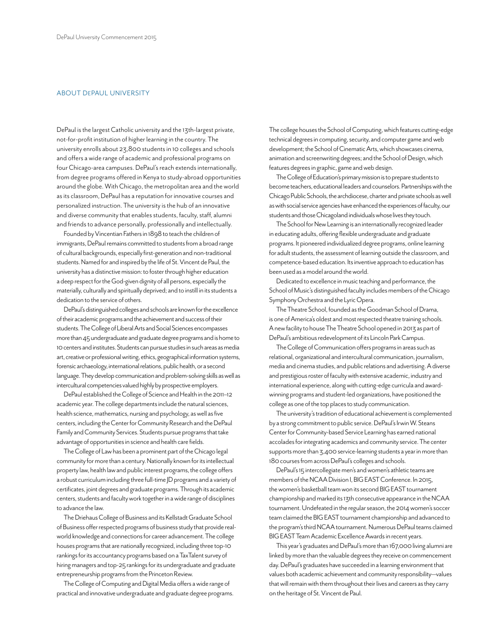#### ABOUT DEPAUL UNIVERSITY

DePaul is the largest Catholic university and the 13th-largest private, not-for-profit institution of higher learning in the country. The university enrolls about 23,800 students in 10 colleges and schools and offers a wide range of academic and professional programs on four Chicago-area campuses. DePaul's reach extends internationally, from degree programs offered in Kenya to study-abroad opportunities around the globe. With Chicago, the metropolitan area and the world as its classroom, DePaul has a reputation for innovative courses and personalized instruction. The university is the hub of an innovative and diverse community that enables students, faculty, staff, alumni and friends to advance personally, professionally and intellectually.

Founded by Vincentian Fathers in 1898 to teach the children of immigrants, DePaul remains committed to students from a broad range of cultural backgrounds, especially first-generation and non-traditional students. Named for and inspired by the life of St. Vincent de Paul, the university has a distinctive mission: to foster through higher education a deep respect for the God-given dignity of all persons, especially the materially, culturally and spiritually deprived; and to instill in its students a dedication to the service of others.

DePaul's distinguished colleges and schools are known for the excellence of their academic programs and the achievement and success of their students. The College of Liberal Arts and Social Sciences encompasses more than 45 undergraduate and graduate degree programs and is home to 10 centers and institutes. Students can pursue studies in such areas as media art, creative or professional writing, ethics, geographical information systems, forensic archaeology, international relations, public health, or a second language. They develop communication and problem-solving skills as well as intercultural competencies valued highly by prospective employers.

DePaul established the College of Science and Health in the 2011–12 academic year. The college departments include the natural sciences, health science, mathematics, nursing and psychology, as well as five centers, including the Center for Community Research and the DePaul Family and Community Services. Students pursue programs that take advantage of opportunities in science and health care fields.

The College of Law has been a prominent part of the Chicago legal community for more than a century. Nationally known for its intellectual property law, health law and public interest programs, the college offers a robust curriculum including three full-time JD programs and a variety of certificates, joint degrees and graduate programs. Through its academic centers, students and faculty work together in a wide range of disciplines to advance the law.

The Driehaus College of Business and its Kellstadt Graduate School of Business offer respected programs of business study that provide realworld knowledge and connections for career advancement. The college houses programs that are nationally recognized, including three top-10 rankings for its accountancy programs based on a TaxTalent survey of hiring managers and top-25 rankings for its undergraduate and graduate entrepreneurship programs from the Princeton Review.

The College of Computing and Digital Media offers a wide range of practical and innovative undergraduate and graduate degree programs. The college houses the School of Computing, which features cutting-edge technical degrees in computing, security, and computer game and web development; the School of Cinematic Arts, which showcases cinema, animation and screenwriting degrees; and the School of Design, which features degrees in graphic, game and web design.

The College of Education's primary mission is to prepare students to become teachers, educational leaders and counselors. Partnerships with the Chicago Public Schools, the archdiocese, charter and private schools as well as with social service agencies have enhanced the experiences of faculty, our students and those Chicagoland individuals whose lives they touch.

The School for New Learning is an internationally recognized leader in educating adults, offering flexible undergraduate and graduate programs. It pioneered individualized degree programs, online learning for adult students, the assessment of learning outside the classroom, and competence-based education. Its inventive approach to education has been used as a model around the world.

Dedicated to excellence in music teaching and performance, the School of Music's distinguished faculty includes members of the Chicago Symphony Orchestra and the Lyric Opera.

The Theatre School, founded as the Goodman School of Drama, is one of America's oldest and most respected theatre training schools. A new facility to house The Theatre School opened in 2013 as part of DePaul's ambitious redevelopment of its Lincoln Park Campus.

The College of Communication offers programs in areas such as relational, organizational and intercultural communication, journalism, media and cinema studies, and public relations and advertising. A diverse and prestigious roster of faculty with extensive academic, industry and international experience, along with cutting-edge curricula and awardwinning programs and student-led organizations, have positioned the college as one of the top places to study communication.

The university's tradition of educational achievement is complemented by a strong commitment to public service. DePaul's Irwin W. Steans Center for Community-based Service Learning has earned national accolades for integrating academics and community service. The center supports more than 3,400 service-learning students a year in more than 180 courses from across DePaul's colleges and schools.

DePaul's 15 intercollegiate men's and women's athletic teams are members of the NCAA Division I, BIG EAST Conference. In 2015, the women's basketball team won its second BIG EAST tournament championship and marked its 13th consecutive appearance in the NCAA tournament. Undefeated in the regular season, the 2014 women's soccer team claimed the BIG EAST tournament championship and advanced to the program's third NCAA tournament. Numerous DePaul teams claimed BIG EAST Team Academic Excellence Awards in recent years.

This year's graduates and DePaul's more than 167,000 living alumni are linked by more than the valuable degrees they receive on commencement day. DePaul's graduates have succeeded in a learning environment that values both academic achievement and community responsibility—values that will remain with them throughout their lives and careers as they carry on the heritage of St. Vincent de Paul.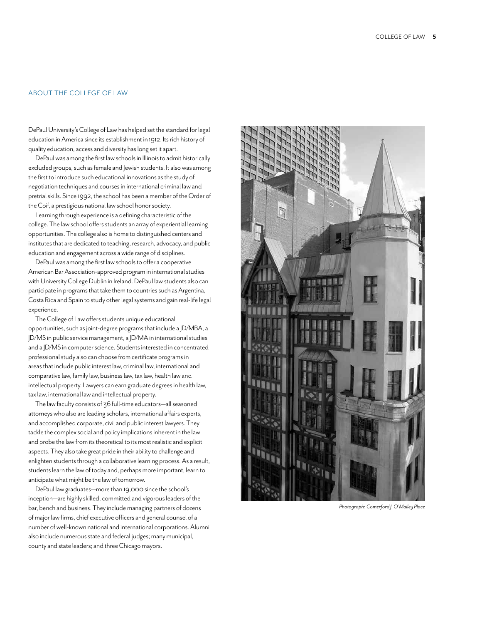#### ABOUT THE COLLEGE OF LAW

DePaul University's College of Law has helped set the standard for legal education in America since its establishment in 1912. Its rich history of quality education, access and diversity has long set it apart.

DePaul was among the first law schools in Illinois to admit historically excluded groups, such as female and Jewish students. It also was among the first to introduce such educational innovations as the study of negotiation techniques and courses in international criminal law and pretrial skills. Since 1992, the school has been a member of the Order of the Coif, a prestigious national law school honor society.

Learning through experience is a defining characteristic of the college. The law school offers students an array of experiential learning opportunities. The college also is home to distinguished centers and institutes that are dedicated to teaching, research, advocacy, and public education and engagement across a wide range of disciplines.

DePaul was among the first law schools to offer a cooperative American Bar Association-approved program in international studies with University College Dublin in Ireland. DePaul law students also can participate in programs that take them to countries such as Argentina, Costa Rica and Spain to study other legal systems and gain real-life legal experience.

The College of Law offers students unique educational opportunities, such as joint-degree programs that include a JD/MBA, a JD/MS in public service management, a JD/MA in international studies and a JD/MS in computer science. Students interested in concentrated professional study also can choose from certificate programs in areas that include public interest law, criminal law, international and comparative law, family law, business law, tax law, health law and intellectual property. Lawyers can earn graduate degrees in health law, tax law, international law and intellectual property.

The law faculty consists of 36 full-time educators—all seasoned attorneys who also are leading scholars, international affairs experts, and accomplished corporate, civil and public interest lawyers. They tackle the complex social and policy implications inherent in the law and probe the law from its theoretical to its most realistic and explicit aspects. They also take great pride in their ability to challenge and enlighten students through a collaborative learning process. As a result, students learn the law of today and, perhaps more important, learn to anticipate what might be the law of tomorrow.

DePaul law graduates—more than 19,000 since the school's inception—are highly skilled, committed and vigorous leaders of the bar, bench and business. They include managing partners of dozens of major law firms, chief executive officers and general counsel of a number of well-known national and international corporations. Alumni also include numerous state and federal judges; many municipal, county and state leaders; and three Chicago mayors.



*Photograph: Comerford J. O'Malley Place*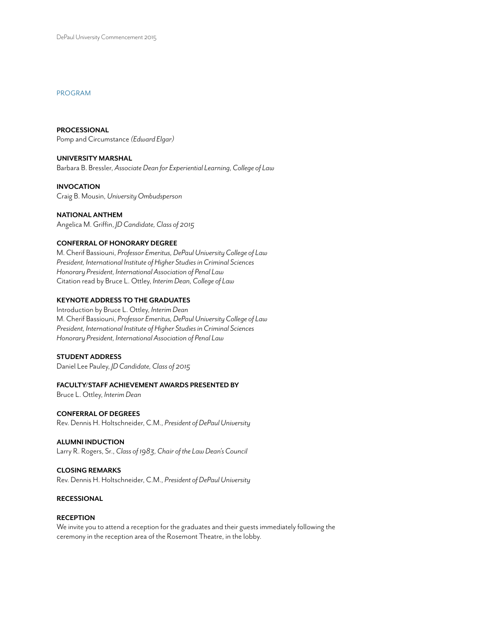#### PROGRAM

**PROCESSIONAL** Pomp and Circumstance *(Edward Elgar)*

**UNIVERSITY MARSHAL** Barbara B. Bressler, *Associate Dean for Experiential Learning, College of Law*

**INVOCATION** Craig B. Mousin, *University Ombudsperson*

**NATIONAL ANTHEM** Angelica M. Griffin, *JD Candidate, Class of 2015*

#### **CONFERRAL OF HONORARY DEGREE**

M. Cherif Bassiouni, *Professor Emeritus, DePaul University College of Law President, International Institute of Higher Studies in Criminal Sciences Honorary President, International Association of Penal Law* Citation read by Bruce L. Ottley, *Interim Dean, College of Law*

#### **KEYNOTE ADDRESS TO THE GRADUATES**

Introduction by Bruce L. Ottley, *Interim Dean* M. Cherif Bassiouni, *Professor Emeritus, DePaul University College of Law President, International Institute of Higher Studies in Criminal Sciences Honorary President, International Association of Penal Law*

#### **STUDENT ADDRESS**

Daniel Lee Pauley, *JD Candidate, Class of 2015*

#### **FACULTY/STAFF ACHIEVEMENT AWARDS PRESENTED BY**

Bruce L. Ottley, *Interim Dean*

#### **CONFERRAL OF DEGREES** Rev. Dennis H. Holtschneider, C.M., *President of DePaul University*

### **ALUMNI INDUCTION**

Larry R. Rogers, Sr., *Class of 1983, Chair of the Law Dean's Council*

#### **CLOSING REMARKS**

Rev. Dennis H. Holtschneider, C.M., *President of DePaul University*

#### **RECESSIONAL**

#### **RECEPTION**

We invite you to attend a reception for the graduates and their guests immediately following the ceremony in the reception area of the Rosemont Theatre, in the lobby.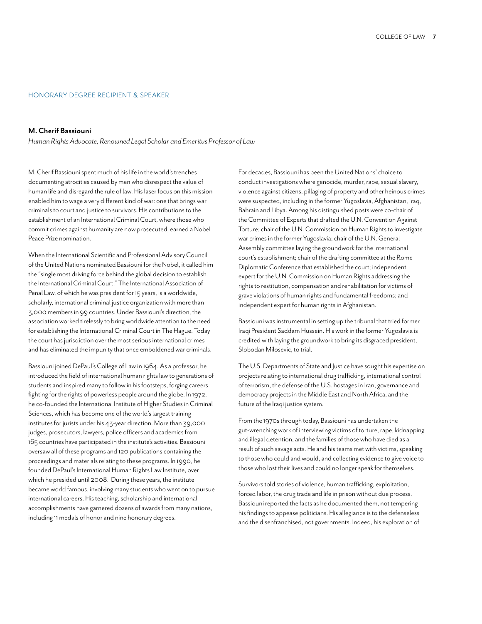#### HONORARY DEGREE RECIPIENT & SPEAKER

#### **M. Cherif Bassiouni**

*Human Rights Advocate, Renowned Legal Scholar and Emeritus Professor of Law*

M. Cherif Bassiouni spent much of his life in the world's trenches documenting atrocities caused by men who disrespect the value of human life and disregard the rule of law. His laser focus on this mission enabled him to wage a very different kind of war: one that brings war criminals to court and justice to survivors. His contributions to the establishment of an International Criminal Court, where those who commit crimes against humanity are now prosecuted, earned a Nobel Peace Prize nomination.

When the International Scientific and Professional Advisory Council of the United Nations nominated Bassiouni for the Nobel, it called him the "single most driving force behind the global decision to establish the International Criminal Court." The International Association of Penal Law, of which he was president for 15 years, is a worldwide, scholarly, international criminal justice organization with more than 3,000 members in 99 countries. Under Bassiouni's direction, the association worked tirelessly to bring worldwide attention to the need for establishing the International Criminal Court in The Hague. Today the court has jurisdiction over the most serious international crimes and has eliminated the impunity that once emboldened war criminals.

Bassiouni joined DePaul's College of Law in 1964. As a professor, he introduced the field of international human rights law to generations of students and inspired many to follow in his footsteps, forging careers fighting for the rights of powerless people around the globe. In 1972, he co-founded the International Institute of Higher Studies in Criminal Sciences, which has become one of the world's largest training institutes for jurists under his 43-year direction. More than 39,000 judges, prosecutors, lawyers, police officers and academics from 165 countries have participated in the institute's activities. Bassiouni oversaw all of these programs and 120 publications containing the proceedings and materials relating to these programs. In 1990, he founded DePaul's International Human Rights Law Institute, over which he presided until 2008. During these years, the institute became world famous, involving many students who went on to pursue international careers. His teaching, scholarship and international accomplishments have garnered dozens of awards from many nations, including 11 medals of honor and nine honorary degrees.

For decades, Bassiouni has been the United Nations' choice to conduct investigations where genocide, murder, rape, sexual slavery, violence against citizens, pillaging of property and other heinous crimes were suspected, including in the former Yugoslavia, Afghanistan, Iraq, Bahrain and Libya. Among his distinguished posts were co-chair of the Committee of Experts that drafted the U.N. Convention Against Torture; chair of the U.N. Commission on Human Rights to investigate war crimes in the former Yugoslavia; chair of the U.N. General Assembly committee laying the groundwork for the international court's establishment; chair of the drafting committee at the Rome Diplomatic Conference that established the court; independent expert for the U.N. Commission on Human Rights addressing the rights to restitution, compensation and rehabilitation for victims of grave violations of human rights and fundamental freedoms; and independent expert for human rights in Afghanistan.

Bassiouni was instrumental in setting up the tribunal that tried former Iraqi President Saddam Hussein. His work in the former Yugoslavia is credited with laying the groundwork to bring its disgraced president, Slobodan Milosevic, to trial.

The U.S. Departments of State and Justice have sought his expertise on projects relating to international drug trafficking, international control of terrorism, the defense of the U.S. hostages in Iran, governance and democracy projects in the Middle East and North Africa, and the future of the Iraqi justice system.

From the 1970s through today, Bassiouni has undertaken the gut-wrenching work of interviewing victims of torture, rape, kidnapping and illegal detention, and the families of those who have died as a result of such savage acts. He and his teams met with victims, speaking to those who could and would, and collecting evidence to give voice to those who lost their lives and could no longer speak for themselves.

Survivors told stories of violence, human trafficking, exploitation, forced labor, the drug trade and life in prison without due process. Bassiouni reported the facts as he documented them, not tempering his findings to appease politicians. His allegiance is to the defenseless and the disenfranchised, not governments. Indeed, his exploration of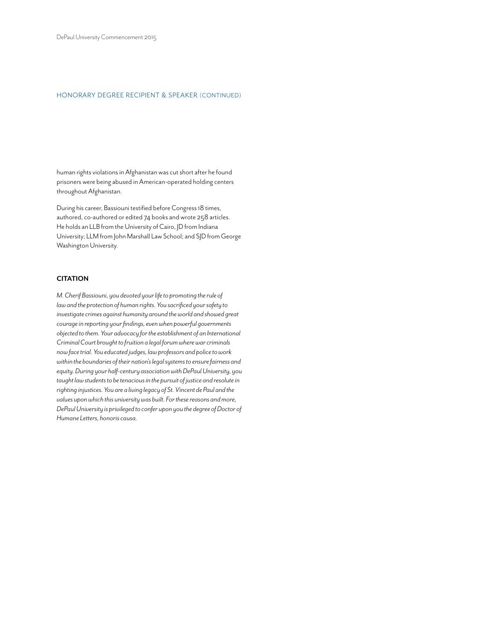#### HONORARY DEGREE RECIPIENT & SPEAKER (CONTINUED)

human rights violations in Afghanistan was cut short after he found prisoners were being abused in American-operated holding centers throughout Afghanistan.

During his career, Bassiouni testified before Congress 18 times, authored, co-authored or edited 74 books and wrote 258 articles. He holds an LLB from the University of Cairo, JD from Indiana University; LLM from John Marshall Law School; and SJD from George Washington University.

#### **CITATION**

*M. Cherif Bassiouni, you devoted your life to promoting the rule of law and the protection of human rights. You sacrificed your safety to investigate crimes against humanity around the world and showed great courage in reporting your findings, even when powerful governments objected to them. Your advocacy for the establishment of an International Criminal Court brought to fruition a legal forum where war criminals now face trial. You educated judges, law professors and police to work within the boundaries of their nation's legal systems to ensure fairness and equity. During your half-century association with DePaul University, you taught law students to be tenacious in the pursuit of justice and resolute in righting injustices. You are a living legacy of St. Vincent de Paul and the values upon which this university was built. For these reasons and more, DePaul University is privileged to confer upon you the degree of Doctor of Humane Letters, honoris causa.*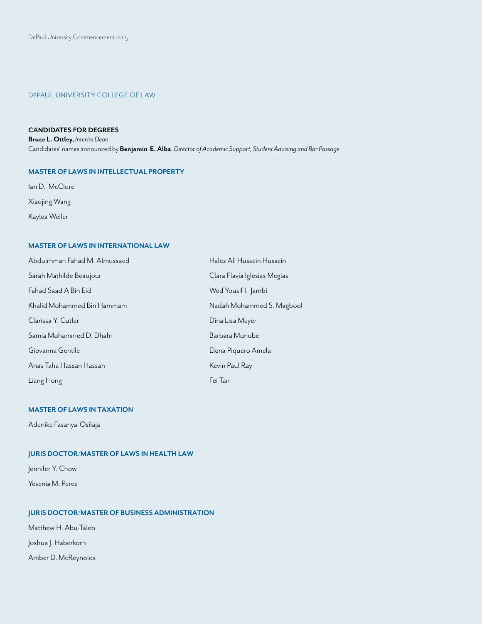#### DEPAUL UNIVERSITY COLLEGE OF LAW

#### **CANDIDATES FOR DEGREES**

**Bruce L. Ottley,** *Interim Dean* Candidates' names announced by **Benjamin E. Alba**, *Director of Academic Support, Student Advising and Bar Passage*

#### **MASTER OF LAWS IN INTELLECTUAL PROPERTY**

lan D. McClure Xiaojing Wang Kaylea Weiler

#### **MASTER OF LAWS IN INTERNATIONAL LAW**

| Abdulrhman Fahad M. Almussaed | Halez Ali Hussein Hussein    |
|-------------------------------|------------------------------|
| Sarah Mathilde Beaujour       | Clara Flavia Iglesias Megias |
| Fahad Saad A Bin Eid          | Wed Yousif I. Jambi          |
| Khalid Mohammed Bin Hammam    | Nadah Mohammed S. Magbool    |
| Clarissa Y. Cutler            | Dina Lisa Meyer              |
| Samia Mohammed D. Dhahi       | Barbara Munube               |
| Giovanna Gentile              | Elena Piquero Amela          |
| Anas Taha Hassan Hassan       | Kevin Paul Ray               |
| Liang Hong                    | Fei Tan                      |

#### **MASTER OF LAWS IN TAXATION**

Adenike Fasanya-Osilaja

#### **JURIS DOCTOR/MASTER OF LAWS IN HEALTH LAW**

Jennifer Y. Chow

Yesenia M. Perez

#### **JURIS DOCTOR/MASTER OF BUSINESS ADMINISTRATION**

Matthew H. Abu-Taleb

Joshua J. Haberkorn

Amber D. McReynolds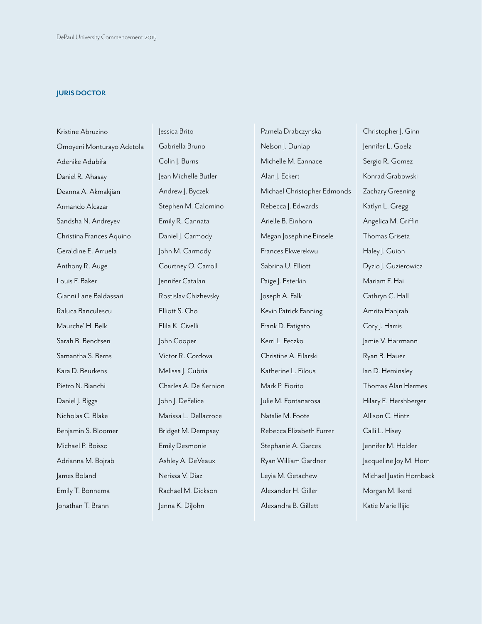#### **JURIS DOCTOR**

Kristine Abruzino Omoyeni Monturayo Adetola Adenike Adubifa Daniel R. Ahasay Deanna A. Akmakjian Armando Alcazar Sandsha N. Andreyev Christina Frances Aquino Geraldine E. Arruela Anthony R. Auge Louis F. Baker Gianni Lane Baldassari Raluca Banculescu Maurche' H. Belk Sarah B. Bendtsen Samantha S. Berns Kara D. Beurkens Pietro N. Bianchi Daniel J. Biggs Nicholas C. Blake Benjamin S. Bloomer Michael P. Boisso Adrianna M. Bojrab James Boland Emily T. Bonnema Jonathan T. Brann

Jessica Brito Gabriella Bruno Colin J. Burns Jean Michelle Butler Andrew J. Byczek Stephen M. Calomino Emily R. Cannata Daniel J. Carmody John M. Carmody Courtney O. Carroll Jennifer Catalan Rostislav Chizhevsky Elliott S. Cho Elila K. Civelli John Cooper Victor R. Cordova Melissa J. Cubria Charles A. De Kernion John J. DeFelice Marissa L. Dellacroce Bridget M. Dempsey Emily Desmonie Ashley A. DeVeaux Nerissa V. Diaz Rachael M. Dickson Jenna K. DiJohn

Pamela Drabczynska Nelson J. Dunlap Michelle M. Eannace Alan |. Eckert Michael Christopher Edmonds Rebecca J. Edwards Arielle B. Einhorn Megan Josephine Einsele Frances Ekwerekwu Sabrina U. Elliott Paige J. Esterkin Joseph A. Falk Kevin Patrick Fanning Frank D. Fatigato Kerri L. Feczko Christine A. Filarski Katherine L. Filous Mark P. Fiorito Julie M. Fontanarosa Natalie M. Foote Rebecca Elizabeth Furrer Stephanie A. Garces Ryan William Gardner Leyia M. Getachew Alexander H. Giller Alexandra B. Gillett

Christopher | . Ginn Jennifer L. Goelz Sergio R. Gomez Konrad Grabowski Zachary Greening Katlyn L. Gregg Angelica M. Griffin Thomas Griseta Haley J. Guion Dyzio | Guzierowicz Mariam F. Hai Cathryn C. Hall Amrita Hanjrah Cory J. Harris Jamie V. Harrmann Ryan B. Hauer Ian D. Heminsley Thomas Alan Hermes Hilary E. Hershberger Allison C. Hintz Calli L. Hisey Jennifer M. Holder Jacqueline Joy M. Horn Michael Justin Hornback Morgan M. Ikerd Katie Marie Ilijic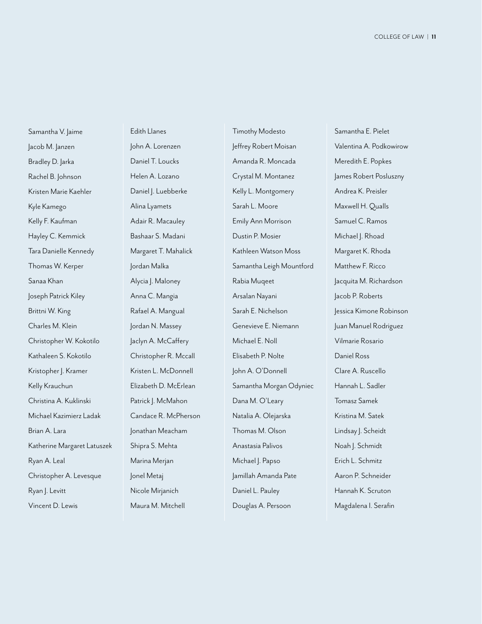Samantha V. Jaime Jacob M. Janzen Bradley D. Jarka Rachel B. Johnson Kristen Marie Kaehler Kyle Kamego Kelly F. Kaufman Hayley C. Kemmick Tara Danielle Kennedy Thomas W. Kerper Sanaa Khan Joseph Patrick Kiley Brittni W. King Charles M. Klein Christopher W. Kokotilo Kathaleen S. Kokotilo Kristopher J. Kramer Kelly Krauchun Christina A. Kuklinski Michael Kazimierz Ladak Brian A. Lara Katherine Margaret Latuszek Ryan A. Leal Christopher A. Levesque Ryan |. Levitt Vincent D. Lewis

Edith Llanes John A. Lorenzen Daniel T. Loucks Helen A. Lozano Daniel J. Luebberke Alina Lyamets Adair R. Macauley Bashaar S. Madani Margaret T. Mahalick Jordan Malka Alycia J. Maloney Anna C. Mangia Rafael A. Mangual Jordan N. Massey Jaclyn A. McCaffery Christopher R. Mccall Kristen L. McDonnell Elizabeth D. McErlean Patrick |. McMahon Candace R. McPherson Jonathan Meacham Shipra S. Mehta Marina Merjan Jonel Metaj Nicole Mirjanich Maura M. Mitchell

Timothy Modesto Jeffrey Robert Moisan Amanda R. Moncada Crystal M. Montanez Kelly L. Montgomery Sarah L. Moore Emily Ann Morrison Dustin P. Mosier Kathleen Watson Moss Samantha Leigh Mountford Rabia Muqeet Arsalan Nayani Sarah E. Nichelson Genevieve E. Niemann Michael E. Noll Elisabeth P. Nolte John A. O'Donnell Samantha Morgan Odyniec Dana M. O'Leary Natalia A. Olejarska Thomas M. Olson Anastasia Palivos Michael J. Papso Jamillah Amanda Pate Daniel L. Pauley Douglas A. Persoon

Samantha E. Pielet Valentina A. Podkowirow Meredith E. Popkes James Robert Posluszny Andrea K. Preisler Maxwell H. Qualls Samuel C. Ramos Michael J. Rhoad Margaret K. Rhoda Matthew F. Ricco Jacquita M. Richardson Jacob P. Roberts Jessica Kimone Robinson Juan Manuel Rodriguez Vilmarie Rosario Daniel Ross Clare A. Ruscello Hannah L. Sadler Tomasz Samek Kristina M. Satek Lindsay J. Scheidt Noah |. Schmidt Erich L. Schmitz Aaron P. Schneider Hannah K. Scruton Magdalena I. Serafin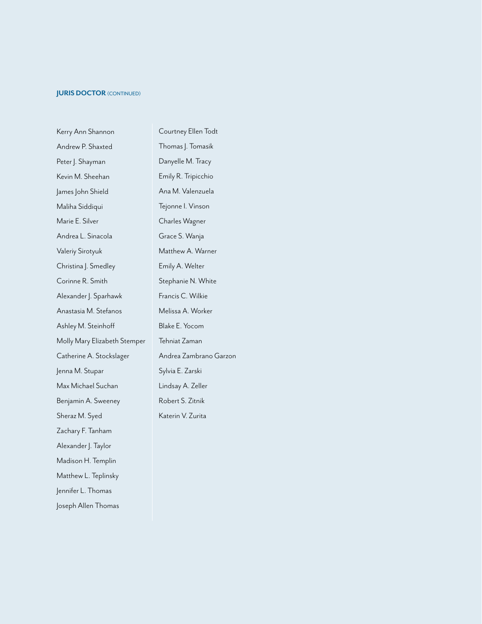#### **JURIS DOCTOR (CONTINUED)**

| Kerry Ann Shannon            | Courtney Ellen Todt    |
|------------------------------|------------------------|
| Andrew P. Shaxted            | Thomas J. Tomasik      |
| Peter J. Shayman             | Danyelle M. Tracy      |
| Kevin M. Sheehan             | Emily R. Tripicchio    |
| James John Shield            | Ana M. Valenzuela      |
| Maliha Siddiqui              | Tejonne I. Vinson      |
| Marie E. Silver              | Charles Wagner         |
| Andrea L. Sinacola           | Grace S. Wanja         |
| Valeriy Sirotyuk             | Matthew A. Warner      |
| Christina J. Smedley         | Emily A. Welter        |
| Corinne R. Smith             | Stephanie N. White     |
| Alexander J. Sparhawk        | Francis C. Wilkie      |
| Anastasia M. Stefanos        | Melissa A. Worker      |
| Ashley M. Steinhoff          | Blake E. Yocom         |
| Molly Mary Elizabeth Stemper | Tehniat Zaman          |
| Catherine A. Stockslager     | Andrea Zambrano Garzon |
| Jenna M. Stupar              | Sylvia E. Zarski       |
| Max Michael Suchan           | Lindsay A. Zeller      |
| Benjamin A. Sweeney          | Robert S. Zitnik       |
| Sheraz M. Syed               | Katerin V. Zurita      |
| Zachary F. Tanham            |                        |
| Alexander J. Taylor          |                        |
| Madison H. Templin           |                        |
| Matthew L. Teplinsky         |                        |
| Jennifer L. Thomas           |                        |
| Joseph Allen Thomas          |                        |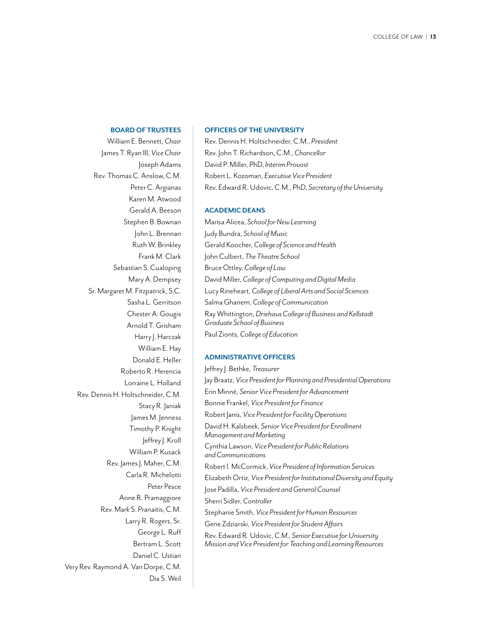#### **BOARD OF TRUSTEES**

William E. Bennett, *Chair* James T. Ryan III, *Vice Chair* Joseph Adams Rev. Thomas C. Anslow, C.M. Peter C. Argianas Karen M. Atwood Gerald A. Beeson Stephen B. Bownan John L. Brennan Ruth W. Brinkley Frank M. Clark Sebastian S. Cualoping Mary A. Dempsey Sr. Margaret M. Fitzpatrick, S.C. Sasha L. Gerritson Chester A. Gougis Arnold T. Grisham Harry |. Harczak William E. Hay Donald E. Heller Roberto R. Herencia Lorraine L. Holland Rev. Dennis H. Holtschneider, C.M. Stacy R. Janiak James M. Jenness Timothy P. Knight Jeffrey J. Kroll William P. Kusack Rev. James J. Maher, C.M. Carla R. Michelotti Peter Pesce Anne R. Pramaggiore Rev. Mark S. Pranaitis, C.M. Larry R. Rogers, Sr. George L. Ruff Bertram L. Scott Daniel C. Ustian Very Rev. Raymond A. Van Dorpe, C.M. Dia S. Weil

#### **OFFICERS OF THE UNIVERSITY**

Rev. Dennis H. Holtschneider, C.M., *President* Rev. John T. Richardson, C.M., *Chancellor* David P. Miller, PhD, *Interim Provost* Robert L. Kozoman, *Executive Vice President* Rev. Edward R. Udovic, C.M., PhD, *Secretary of the University*

#### **ACADEMIC DEANS**

Marisa Alicea, *School for New Learning* Judy Bundra, *School of Music* Gerald Koocher, *College of Science and Health* John Culbert, *The Theatre School* Bruce Ottley, *College of Law* David Miller, *College of Computing and Digital Media* Lucy Rineheart, *College of Liberal Arts and Social Sciences* Salma Ghanem, *College of Communication* Ray Whittington, *Driehaus College of Business and Kellstadt Graduate School of Business* Paul Zionts, *College of Education*

#### **ADMINISTRATIVE OFFICERS**

Jeffrey J. Bethke, *Treasurer* Jay Braatz, *Vice President for Planning and Presidential Operations*  Erin Minné, *Senior Vice President for Advancement* Bonnie Frankel, *Vice President for Finance*  Robert Janis, *Vice President for Facility Operations* David H. Kalsbeek, *Senior Vice President for Enrollment Management and Marketing* Cynthia Lawson, *Vice President for Public Relations and Communications* Robert I. McCormick, *Vice President of Information Services* Elizabeth Ortiz, *Vice President for Institutional Diversity and Equity* Jose Padilla, *Vice President and General Counsel* Sherri Sidler, *Controller* Stephanie Smith, *Vice President for Human Resources* Gene Zdziarski, *Vice President for Student Affairs* Rev. Edward R. Udovic, *C.M., Senior Executive for University Mission and Vice President for Teaching and Learning Resources*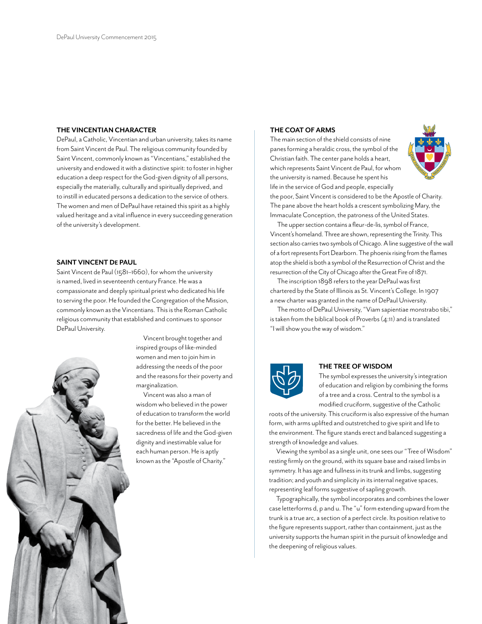#### **THE VINCENTIAN CHARACTER**

DePaul, a Catholic, Vincentian and urban university, takes its name from Saint Vincent de Paul. The religious community founded by Saint Vincent, commonly known as "Vincentians," established the university and endowed it with a distinctive spirit: to foster in higher education a deep respect for the God-given dignity of all persons, especially the materially, culturally and spiritually deprived, and to instill in educated persons a dedication to the service of others. The women and men of DePaul have retained this spirit as a highly valued heritage and a vital influence in every succeeding generation of the university's development.

#### **SAINT VINCENT DE PAUL**

Saint Vincent de Paul (1581–1660), for whom the university is named, lived in seventeenth century France. He was a compassionate and deeply spiritual priest who dedicated his life to serving the poor. He founded the Congregation of the Mission, commonly known as the Vincentians. This is the Roman Catholic religious community that established and continues to sponsor DePaul University.



Vincent brought together and inspired groups of like-minded women and men to join him in addressing the needs of the poor and the reasons for their poverty and marginalization.

Vincent was also a man of wisdom who believed in the power of education to transform the world for the better. He believed in the sacredness of life and the God-given dignity and inestimable value for each human person. He is aptly known as the "Apostle of Charity."

#### **THE COAT OF ARMS**

The main section of the shield consists of nine panes forming a heraldic cross, the symbol of the Christian faith. The center pane holds a heart, which represents Saint Vincent de Paul, for whom the university is named. Because he spent his life in the service of God and people, especially



the poor, Saint Vincent is considered to be the Apostle of Charity. The pane above the heart holds a crescent symbolizing Mary, the Immaculate Conception, the patroness of the United States.

The upper section contains a fleur-de-lis, symbol of France, Vincent's homeland. Three are shown, representing the Trinity. This section also carries two symbols of Chicago. A line suggestive of the wall of a fort represents Fort Dearborn. The phoenix rising from the flames atop the shield is both a symbol of the Resurrection of Christ and the resurrection of the City of Chicago after the Great Fire of 1871.

The inscription 1898 refers to the year DePaul was first chartered by the State of Illinois as St. Vincent's College. In 1907 a new charter was granted in the name of DePaul University.

The motto of DePaul University, "Viam sapientiae monstrabo tibi," is taken from the biblical book of Proverbs (4:11) and is translated "I will show you the way of wisdom."



#### **THE TREE OF WISDOM**

The symbol expresses the university's integration of education and religion by combining the forms of a tree and a cross. Central to the symbol is a modified cruciform, suggestive of the Catholic

roots of the university. This cruciform is also expressive of the human form, with arms uplifted and outstretched to give spirit and life to the environment. The figure stands erect and balanced suggesting a strength of knowledge and values.

Viewing the symbol as a single unit, one sees our "Tree of Wisdom" resting firmly on the ground, with its square base and raised limbs in symmetry. It has age and fullness in its trunk and limbs, suggesting tradition; and youth and simplicity in its internal negative spaces, representing leaf forms suggestive of sapling growth.

Typographically, the symbol incorporates and combines the lower case letterforms d, p and u. The "u" form extending upward from the trunk is a true arc, a section of a perfect circle. Its position relative to the figure represents support, rather than containment, just as the university supports the human spirit in the pursuit of knowledge and the deepening of religious values.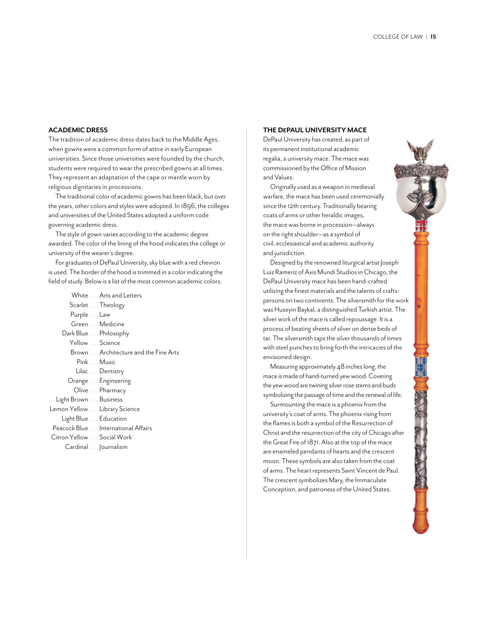#### **ACADEMIC DRESS**

The tradition of academic dress dates back to the Middle Ages, when gowns were a common form of attire in early European universities. Since those universities were founded by the church, students were required to wear the prescribed gowns at all times. They represent an adaptation of the cape or mantle worn by religious dignitaries in processions.

The traditional color of academic gowns has been black, but over the years, other colors and styles were adopted. In 1896, the colleges and universities of the United States adopted a uniform code governing academic dress.

The style of gown varies according to the academic degree awarded. The color of the lining of the hood indicates the college or university of the wearer's degree.

For graduates of DePaul University, sky blue with a red chevron is used. The border of the hood is trimmed in a color indicating the field of study. Below is a list of the most common academic colors.

|                                    | White  Arts and Letters              |
|------------------------------------|--------------------------------------|
| Scarlet Theology                   |                                      |
| Purple  Law                        |                                      |
| Green Medicine                     |                                      |
| Dark Blue Philosophy               |                                      |
| Yellow  Science                    |                                      |
|                                    | Brown Architecture and the Fine Arts |
| Pink Music                         |                                      |
| Lilac Dentistry                    |                                      |
| Orange  Engineering                |                                      |
| Olive  Pharmacy                    |                                      |
| Light Brown Business               |                                      |
| Lemon Yellow Library Science       |                                      |
| Light Blue Education               |                                      |
| Peacock Blue International Affairs |                                      |
| Citron Yellow  Social Work         |                                      |
| Cardinal  ournalism                |                                      |
|                                    |                                      |

#### **THE DEPAUL UNIVERSITY MACE**

DePaul University has created, as part of its permanent institutional academic regalia, a university mace. The mace was commissioned by the Office of Mission and Values.

Originally used as a weapon in medieval warfare, the mace has been used ceremonially since the 12th century. Traditionally bearing coats of arms or other heraldic images, the mace was borne in procession—always on the right shoulder—as a symbol of civil, ecclesiastical and academic authority and jurisdiction.

Designed by the renowned liturgical artist Joseph Luiz Rameriz of Axis Mundi Studios in Chicago, the DePaul University mace has been hand-crafted utilizing the finest materials and the talents of craftspersons on two continents. The silversmith for the work was Huseyin Baykal, a distinguished Turkish artist. The silver work of the mace is called repoussage. It is a process of beating sheets of silver on dense beds of tar. The silversmith taps the silver thousands of times with steel punches to bring forth the intricacies of the envisioned design.

Measuring approximately 48 inches long, the mace is made of hand-turned yew wood. Covering the yew wood are twining silver rose stems and buds symbolizing the passage of time and the renewal of life.

Surmounting the mace is a phoenix from the university's coat of arms. The phoenix rising from the flames is both a symbol of the Resurrection of Christ and the resurrection of the city of Chicago after the Great Fire of 1871. Also at the top of the mace are enameled pendants of hearts and the crescent moon. These symbols are also taken from the coat of arms. The heart represents Saint Vincent de Paul. The crescent symbolizes Mary, the Immaculate Conception, and patroness of the United States.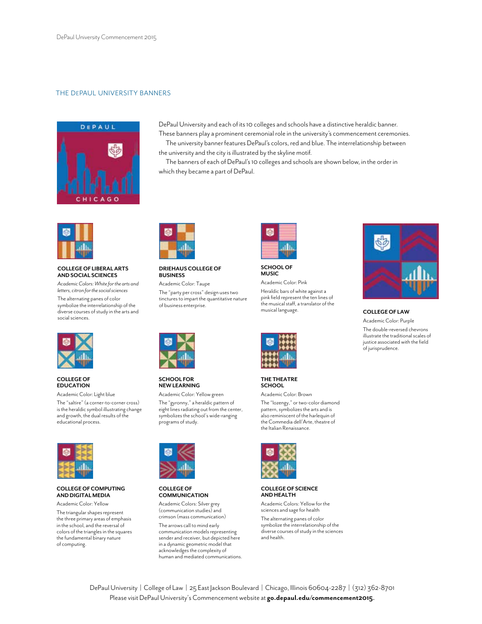#### THE DEPAUL UNIVERSITY BANNERS



DePaul University and each of its 10 colleges and schools have a distinctive heraldic banner. These banners play a prominent ceremonial role in the university's commencement ceremonies.

The university banner features DePaul's colors, red and blue. The interrelationship between the university and the city is illustrated by the skyline motif.

The banners of each of DePaul's 10 colleges and schools are shown below, in the order in which they became a part of DePaul.



#### **COLLEGE OF LIBERAL ARTS AND SOCIAL SCIENCES**

*Academic Colors: White for the arts and letters, citron for the social sciences*

The alternating panes of color symbolize the interrelationship of the diverse courses of study in the arts and social sciences.



#### **COLLEGE OF EDUCATION**

Academic Color: Light blue

The "saltire" (a corner-to-corner cross) is the heraldic symbol illustrating change and growth, the dual results of the educational process.



#### **COLLEGE OF COMPUTING AND DIGITAL MEDIA**

Academic Color: Yellow

The triangular shapes represent the three primary areas of emphasis in the school, and the reversal of colors of the triangles in the squares the fundamental binary nature of computing.



#### **DRIEHAUS COLLEGE OF BUSINESS**

Academic Color: Taupe The "party per cross" design uses two tinctures to impart the quantitative nature of business enterprise.



**SCHOOL FOR NEW LEARNING** Academic Color: Yellow green

The "gyronny," a heraldic pattern of eight lines radiating out from the center, symbolizes the school's wide-ranging programs of study.



#### **COLLEGE OF COMMUNICATION**

Academic Colors: Silver grey (communication studies) and crimson (mass communication)

The arrows call to mind early communication models representing sender and receiver, but depicted here in a dynamic geometric model that acknowledges the complexity of human and mediated communications.



**SCHOOL OF MUSIC**

Academic Color: Pink Heraldic bars of white against a pink field represent the ten lines of the musical staff, a translator of the<br>musical language.



**THE THEATRE SCHOOL** Academic Color: Brown

The "lozengy," or two-color diamond pattern, symbolizes the arts and is also reminiscent of the harlequin of the Commedia dell'Arte, theatre of the Italian Renaissance.



#### **COLLEGE OF SCIENCE AND HEALTH**

Academic Colors: Yellow for the sciences and sage for health

The alternating panes of color symbolize the interrelationship of the diverse courses of study in the sciences and health.



**COLLEGE OF LAW** 

Academic Color: Purple The double-reversed chevrons illustrate the traditional scales of justice associated with the field of jurisprudence.

DePaul University | College of Law | 25 East Jackson Boulevard | Chicago, Illinois 60604-2287 | (312) 362-8701 Please visit DePaul University's Commencement website at **go.depaul.edu/commencement2015**.